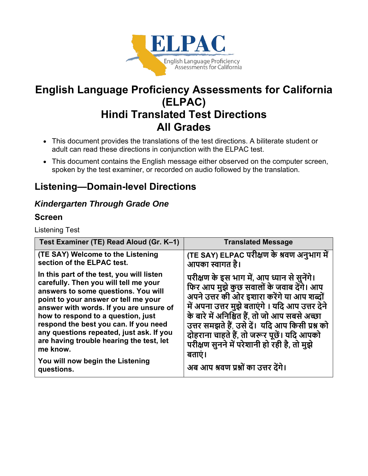

# **English Language Proficiency Assessments for California (ELPAC) Hindi Translated Test Directions All Grades**

- This document provides the translations of the test directions. A biliterate student or adult can read these directions in conjunction with the ELPAC test.
- This document contains the English message either observed on the computer screen, spoken by the test examiner, or recorded on audio followed by the translation.

# **Listening—Domain-level Directions**

### *Kindergarten Through Grade One*

### **Screen**

Listening Test

| Test Examiner (TE) Read Aloud (Gr. K-1)                                                                                                                                                                                                                                                                                                                                                                                                           | <b>Translated Message</b>                                                                                                                                                                                                                                                                                                                                                                                                                  |
|---------------------------------------------------------------------------------------------------------------------------------------------------------------------------------------------------------------------------------------------------------------------------------------------------------------------------------------------------------------------------------------------------------------------------------------------------|--------------------------------------------------------------------------------------------------------------------------------------------------------------------------------------------------------------------------------------------------------------------------------------------------------------------------------------------------------------------------------------------------------------------------------------------|
| (TE SAY) Welcome to the Listening<br>section of the ELPAC test.                                                                                                                                                                                                                                                                                                                                                                                   | (TE SAY) ELPAC परीक्षण के श्रवण अनुभाग में<br>आपका स्वागत है।                                                                                                                                                                                                                                                                                                                                                                              |
| In this part of the test, you will listen<br>carefully. Then you will tell me your<br>answers to some questions. You will<br>point to your answer or tell me your<br>answer with words. If you are unsure of<br>how to respond to a question, just<br>respond the best you can. If you need<br>any questions repeated, just ask. If you<br>are having trouble hearing the test, let<br>me know.<br>You will now begin the Listening<br>questions. | परीक्षण के इस भाग में, आप ध्यान से सुनेंगे।<br>फिर आप मुझे कुछ सवालों के जवाब देंगे। आप<br>अपने उत्तर की ओर इशारा करेंगे या आप शब्दों<br>में अपना उत्तर मुझे बताएंगे। यदि आप उत्तर देने<br>के बारे में अनिश्चित हैं, तो जो आप सबसे अच्छा<br>उत्तर समझते हैं, उसे दें। यदि आप किसी प्रश्न को<br>दोहराना चाहते हैं, तो जरूर पूछें। यदि आपको<br>परीक्षण सुनने में परेशानी हो रही है, तो मुझे<br>बताए।<br>अब आप श्रवण प्रश्नों का उत्तर देंगे। |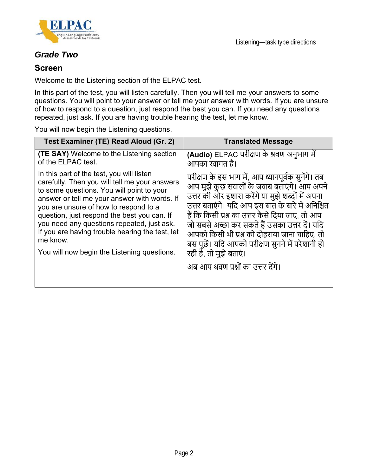

### *Grade Two*

#### **Screen**

Welcome to the Listening section of the ELPAC test.

In this part of the test, you will listen carefully. Then you will tell me your answers to some questions. You will point to your answer or tell me your answer with words. If you are unsure of how to respond to a question, just respond the best you can. If you need any questions repeated, just ask. If you are having trouble hearing the test, let me know.

You will now begin the Listening questions.

| Test Examiner (TE) Read Aloud (Gr. 2)           | <b>Translated Message</b>                         |
|-------------------------------------------------|---------------------------------------------------|
| (TE SAY) Welcome to the Listening section       | (Audio) ELPAC परीक्षण के श्रवण अनुभाग में         |
| of the ELPAC test.                              | आपका स्वागत है।                                   |
| In this part of the test, you will listen       | परीक्षण के इस भाग में, आप ध्यानपूर्वक सुनेंगे। तब |
| carefully. Then you will tell me your answers   | आप मुझे कुछ सवालों के जवाब बताएंगे। आप अपने       |
| to some questions. You will point to your       | उत्तर की ओर इशारा करेंगे या मुझे शब्दों में अपना  |
| answer or tell me your answer with words. If    | उत्तर बताएंगे। यदि आप इस बात के बारे में अनिश्चित |
| you are unsure of how to respond to a           | हैं कि किसी प्रश्न का उत्तर कैसे दिया जाए, तो आप  |
| question, just respond the best you can. If     | जो सबसे अच्छा कर सकते हैं उसका उत्तर दें। यदि     |
| you need any questions repeated, just ask.      | आपको किसी भी प्रश्न को दोहराया जाना चाहिए, तो     |
| If you are having trouble hearing the test, let | बस पूछें। यदि आपको परीक्षण सुनने में परेशानी हो   |
| me know.                                        | रही है, तो मुझे बताएं।                            |
| You will now begin the Listening questions.     | अब आप श्रवण प्रश्नों का उत्तर देंगे।              |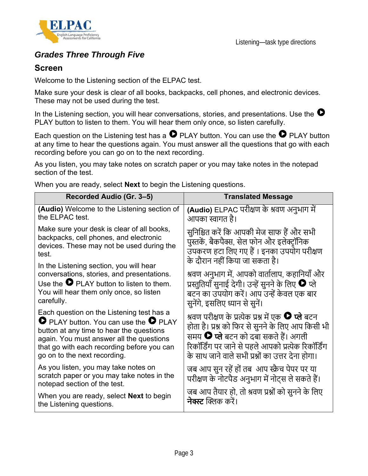



### *Grades Three Through Five*

### **Screen**

Welcome to the Listening section of the ELPAC test.

Make sure your desk is clear of all books, backpacks, cell phones, and electronic devices. These may not be used during the test.

In the Listening section, you will hear conversations, stories, and presentations. Use the  $\bullet$ PLAY button to listen to them. You will hear them only once, so listen carefully.

Each question on the Listening test has a  $\bullet$  PLAY button. You can use the  $\bullet$  PLAY button at any time to hear the questions again. You must answer all the questions that go with each recording before you can go on to the next recording.

As you listen, you may take notes on scratch paper or you may take notes in the notepad section of the test.

When you are ready, select **Next** to begin the Listening questions.

| Recorded Audio (Gr. 3-5)                                                                                                                                                                                                                                               | <b>Translated Message</b>                                                                                                                                                                                                                                           |
|------------------------------------------------------------------------------------------------------------------------------------------------------------------------------------------------------------------------------------------------------------------------|---------------------------------------------------------------------------------------------------------------------------------------------------------------------------------------------------------------------------------------------------------------------|
| (Audio) Welcome to the Listening section of<br>the ELPAC test.                                                                                                                                                                                                         | (Audio) ELPAC परीक्षण के श्रवण अनुभाग में<br>आपका स्वागत है।                                                                                                                                                                                                        |
| Make sure your desk is clear of all books,<br>backpacks, cell phones, and electronic<br>devices. These may not be used during the<br>test.                                                                                                                             | सुनिश्चित करें कि आपकी मेज साफ हैं और सभी<br>पुस्तकें, बैकपैक्स, सेल फोन और इलेक्टॉनिक<br>उपकरण हटा लिए गए हैं। इनका उपयोग परीक्षण<br>के दौरान नहीं किया जा सकता है।                                                                                                |
| In the Listening section, you will hear<br>conversations, stories, and presentations.<br>Use the $\bullet$ PLAY button to listen to them.<br>You will hear them only once, so listen<br>carefully.                                                                     | श्रवण अनुभाग में, आपको वार्तालाप, कहानियाँ और<br>प्रस्तुतियाँ सुनाई देगी। उन्हें सुनने के लिए <b>C</b> प्ले<br>बटन का उपयोग करें। आप उन्हें केवल एक बार<br>सुनेंगे, इसलिए ध्यान से सुनें।                                                                           |
| Each question on the Listening test has a<br><b>O</b> PLAY button. You can use the <b>O</b> PLAY<br>button at any time to hear the questions<br>again. You must answer all the questions<br>that go with each recording before you can<br>go on to the next recording. | श्रवण परीक्षण के प्रत्येक प्रश्न में एक <b>© प्ले</b> बटन<br>होता है। प्रश्न को फिर से सुनने के लिए आप किसी भी<br>समय �े प्ले बटन को दबा सकते हैं। अगली<br>रिकॉर्डिंग पर जाने से पहले आपको प्रत्येक रिकॉर्डिंग<br>के साथ जाने वाले सभी प्रश्नों का उत्तर देना होगा। |
| As you listen, you may take notes on<br>scratch paper or you may take notes in the<br>notepad section of the test.                                                                                                                                                     | जब आप सुन रहें हों तब  आप स्क्रैच पेपर पर या<br>परीक्षण के नोटपैड अनुभाग में नोट्स ले सकते हैं।                                                                                                                                                                     |
| When you are ready, select <b>Next</b> to begin<br>the Listening questions.                                                                                                                                                                                            | जब आप तैयार हो, तो श्रवण प्रश्नों को सुनने के लिए<br><b>नेक्स्ट</b> क्लिक करें।                                                                                                                                                                                     |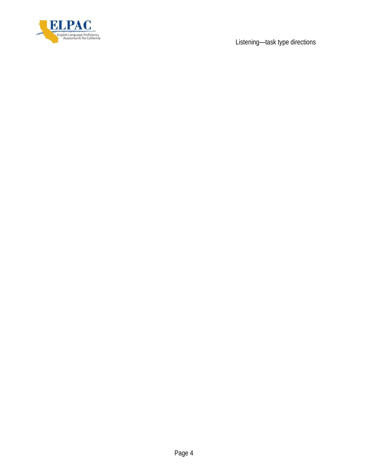

Listening—task type directions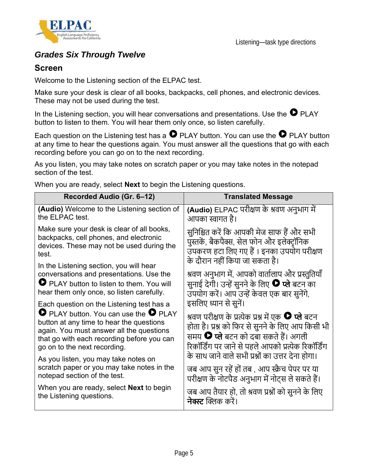

### *Grades Six Through Twelve*

### **Screen**

Welcome to the Listening section of the ELPAC test.

Make sure your desk is clear of all books, backpacks, cell phones, and electronic devices. These may not be used during the test.

In the Listening section, you will hear conversations and presentations. Use the  $\bullet$  PLAY button to listen to them. You will hear them only once, so listen carefully.

Each question on the Listening test has a  $\bullet$  PLAY button. You can use the  $\bullet$  PLAY button at any time to hear the questions again. You must answer all the questions that go with each recording before you can go on to the next recording.

As you listen, you may take notes on scratch paper or you may take notes in the notepad section of the test.

| When you are ready, select <b>Next</b> to begin the Listening questions. |  |  |
|--------------------------------------------------------------------------|--|--|
|                                                                          |  |  |

| <b>Translated Message</b>                                                                                                                                                                                                                |
|------------------------------------------------------------------------------------------------------------------------------------------------------------------------------------------------------------------------------------------|
| (Audio) ELPAC परीक्षण के श्रवण अनुभाग में<br>आपका स्वागत है।                                                                                                                                                                             |
| सुनिश्चित करें कि आपकी मेज साफ हैं और सभी<br>पुस्तकें, बैकपैक्स, सेल फोन और इलेक्ट्रॉनिक<br>उपकरण हटा लिए गए हैं। इनका उपयोग परीक्षण<br>के दौरान नहीं किया जा सकता है।                                                                   |
| श्रवण अनुभाग में, आपको वार्तालाप और प्रस्तुतियाँ<br>सुनाई देगी। उन्हें सुनने के लिए <b>© प्ले</b> बटन का<br>उपयोग करें। आप उन्हें केवल एक बार सनेंगे.                                                                                    |
| इसलिए ध्यान से सुनें।<br>श्रवण परीक्षण के प्रत्येक प्रश्न में एक <b>© प्ले</b> बटन<br>होता है। प्रश्न को फिर से सुनने के लिए आप किसी भी<br>समय �े प्ले बटन को दबा सकते हैं। अगली<br>रिकॉर्डिंग पर जाने से पहले आपको प्रत्येक रिकॉर्डिंग  |
| के साथ जाने वाले सभी प्रश्नों का उत्तर देना होगा।<br>जब आप सुन रहें हों तब , आप स्क्रैच पेपर पर या<br>परीक्षण के नोटपैड अनुभाग में नोट्स ले सकते हैं।<br>जब आप तैयार हो, तो श्रवण प्रश्नों को सुनने के लिए<br><b>नेक्स्ट</b> क्लिक करें। |
|                                                                                                                                                                                                                                          |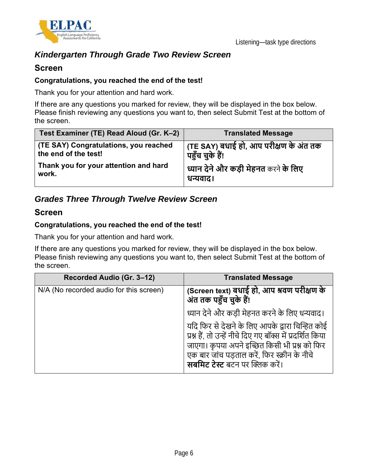

## *Kindergarten Through Grade Two Review Screen*

### **Screen**

#### **Congratulations, you reached the end of the test!**

Thank you for your attention and hard work.

If there are any questions you marked for review, they will be displayed in the box below. Please finish reviewing any questions you want to, then select Submit Test at the bottom of the screen.

| Test Examiner (TE) Read Aloud (Gr. K-2) | <b>Translated Message</b>              |
|-----------------------------------------|----------------------------------------|
| (TE SAY) Congratulations, you reached   | (TE SAY) बधाई हो, आप परीक्षण के अंत तक |
| the end of the test!                    | पहुँच चुके हैं!                        |
| Thank you for your attention and hard   | ध्यान देने और कडी मेहनत करने के लिए    |
| work.                                   | धन्यवाट।                               |

### *Grades Three Through Twelve Review Screen*

### **Screen**

#### **Congratulations, you reached the end of the test!**

Thank you for your attention and hard work.

If there are any questions you marked for review, they will be displayed in the box below. Please finish reviewing any questions you want to, then select Submit Test at the bottom of the screen.

| Recorded Audio (Gr. 3-12)               | <b>Translated Message</b>                                                                                                                                                                                                                         |
|-----------------------------------------|---------------------------------------------------------------------------------------------------------------------------------------------------------------------------------------------------------------------------------------------------|
| N/A (No recorded audio for this screen) | (Screen text) बधाई हो, आप श्रवण परीक्षण के<br>अंत तक पहुँच चुके हैं!                                                                                                                                                                              |
|                                         | ध्यान देने और कड़ी मेहनत करने के लिए धन्यवाद।                                                                                                                                                                                                     |
|                                         | यदि फिर से देखने के लिए आपके द्वारा चिन्हित कोई<br>प्रश्न हैं, तो उन्हें नीचे दिए गए बॉक्स में प्रदर्शित किया<br>जाएगा। कृपया अपने इच्छित किसी भी प्रश्न को फिर<br>एक बार जांच पड़ताल करें, फिर स्क्रीन के नीचे<br>सबमिट टेस्ट बटन पर क्लिक करें। |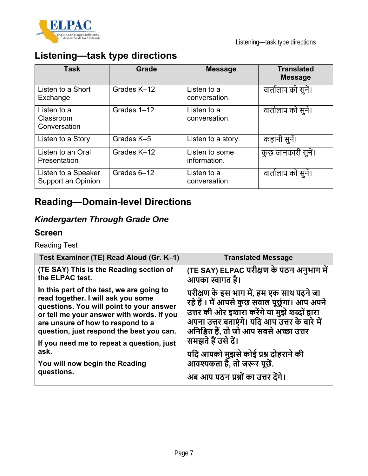

# **Listening—task type directions**

| Task                                      | Grade       | <b>Message</b>                 | <b>Translated</b><br><b>Message</b> |
|-------------------------------------------|-------------|--------------------------------|-------------------------------------|
| Listen to a Short<br>Exchange             | Grades K-12 | Listen to a<br>conversation.   | वार्तालाप को सुनें।                 |
| Listen to a<br>Classroom<br>Conversation  | Grades 1-12 | Listen to a<br>conversation.   | वार्तालाप को सुनें।                 |
| Listen to a Story                         | Grades K-5  | Listen to a story.             | कहानी सुनें।                        |
| Listen to an Oral<br>Presentation         | Grades K-12 | Listen to some<br>information. | कुछ जानकारी सुनें।                  |
| Listen to a Speaker<br>Support an Opinion | Grades 6-12 | Listen to a<br>conversation.   | वातोलाप को सुनें।                   |

# **Reading—Domain-level Directions**

# *Kindergarten Through Grade One*

### **Screen**

Reading Test

| Test Examiner (TE) Read Aloud (Gr. K-1)                                                                                                                                                                                                                                                                                                                        | <b>Translated Message</b>                                                                                                                                                                                                                                                                                                                                                |
|----------------------------------------------------------------------------------------------------------------------------------------------------------------------------------------------------------------------------------------------------------------------------------------------------------------------------------------------------------------|--------------------------------------------------------------------------------------------------------------------------------------------------------------------------------------------------------------------------------------------------------------------------------------------------------------------------------------------------------------------------|
| (TE SAY) This is the Reading section of<br>the ELPAC test.                                                                                                                                                                                                                                                                                                     | (TE SAY) ELPAC परीक्षण के पठन अनुभाग में<br>आपका स्वागत है।                                                                                                                                                                                                                                                                                                              |
| In this part of the test, we are going to<br>read together. I will ask you some<br>questions. You will point to your answer<br>or tell me your answer with words. If you<br>are unsure of how to respond to a<br>question, just respond the best you can.<br>If you need me to repeat a question, just<br>ask.<br>You will now begin the Reading<br>questions. | परीक्षण के इस भाग में, हम एक साथ पढ़ने जा<br>रहे हैं। मैं आपसे कुछ सवाल पूछुंगा। आप अपने<br>उत्तर की ओर इशारा करेंगे या मुझे शब्दों द्वारा<br>अपना उत्तर बताएंगे। यदि आप उत्तर के बारे में<br>अनिश्चित हैं, तो जो आप सबसे अच्छा उत्तर<br>समझते हैं उसे दें।<br>यदि आपको मुझसे कोई प्रश्न दोहराने की<br>आवश्यकता है, तो जरूर पूछें.<br>अब आप पठन प्रश्नों का उत्तर देंगे। |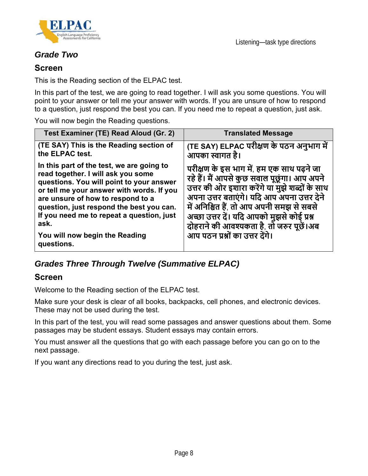

### *Grade Two*

#### **Screen**

This is the Reading section of the ELPAC test.

In this part of the test, we are going to read together. I will ask you some questions. You will point to your answer or tell me your answer with words. If you are unsure of how to respond to a question, just respond the best you can. If you need me to repeat a question, just ask.

You will now begin the Reading questions.

| Test Examiner (TE) Read Aloud (Gr. 2)                                                                                                                                                                                                                                                                                                                          | <b>Translated Message</b>                                                                                                                                                                                                                                                                                                                                         |
|----------------------------------------------------------------------------------------------------------------------------------------------------------------------------------------------------------------------------------------------------------------------------------------------------------------------------------------------------------------|-------------------------------------------------------------------------------------------------------------------------------------------------------------------------------------------------------------------------------------------------------------------------------------------------------------------------------------------------------------------|
| (TE SAY) This is the Reading section of<br>the ELPAC test.                                                                                                                                                                                                                                                                                                     | (TE SAY) ELPAC परीक्षण के पठन अनुभाग में<br>आपका स्वागत है।                                                                                                                                                                                                                                                                                                       |
| In this part of the test, we are going to<br>read together. I will ask you some<br>questions. You will point to your answer<br>or tell me your answer with words. If you<br>are unsure of how to respond to a<br>question, just respond the best you can.<br>If you need me to repeat a question, just<br>ask.<br>You will now begin the Reading<br>questions. | परीक्षण के इस भाग में, हम एक साथ पढ़ने जा<br>रहे हैं। मैं आपसे कुछ सवाल पूछुंगा। आप अपने<br>उत्तर की ओर इशारा करेंगे या मुझे शब्दों के साथ<br>अपना उत्तर बताएंगे। यदि आप अपना उत्तर देने<br>में अनिश्चित हैं. तो आप अपनी समझ से सबसे<br>अच्छा उत्तर दें। यदि आपको मुझसे कोई प्रश्न<br>दोहराने की आवश्यकता है, तो जरुर पूछें।अब<br>आप पठन प्रश्नों का उत्तर देंगे। |

### *Grades Three Through Twelve (Summative ELPAC)*

### **Screen**

Welcome to the Reading section of the ELPAC test.

Make sure your desk is clear of all books, backpacks, cell phones, and electronic devices. These may not be used during the test.

In this part of the test, you will read some passages and answer questions about them. Some passages may be student essays. Student essays may contain errors.

You must answer all the questions that go with each passage before you can go on to the next passage.

If you want any directions read to you during the test, just ask.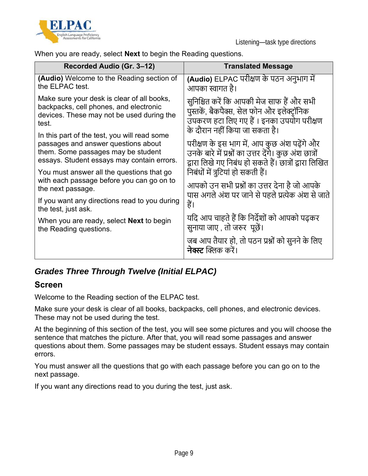

When you are ready, select **Next** to begin the Reading questions.

| Recorded Audio (Gr. 3-12)                                                                                                                                               | <b>Translated Message</b>                                                                                                                                        |
|-------------------------------------------------------------------------------------------------------------------------------------------------------------------------|------------------------------------------------------------------------------------------------------------------------------------------------------------------|
| <b>(Audio)</b> Welcome to the Reading section of                                                                                                                        | (Audio) ELPAC परीक्षण के पठन अनुभाग में                                                                                                                          |
| the ELPAC test.                                                                                                                                                         | आपका स्वागत है।                                                                                                                                                  |
| Make sure your desk is clear of all books,                                                                                                                              | सुनिश्चित करें कि आपकी मेज साफ हैं और सभी                                                                                                                        |
| backpacks, cell phones, and electronic                                                                                                                                  | पुस्तकें, बैकपैक्स, सेल फोन और इलेक्ट्रॉनिक                                                                                                                      |
| devices. These may not be used during the                                                                                                                               | उपकरण हटा लिए गए हैं । इनका उपयोग परीक्षण                                                                                                                        |
| test.                                                                                                                                                                   | के दौरान नहीं किया जा सकता है।                                                                                                                                   |
| In this part of the test, you will read some<br>passages and answer questions about<br>them. Some passages may be student<br>essays. Student essays may contain errors. | परीक्षण के इस भाग में, आप कुछ अंश पढ़ेंगे और<br>उनके बारे में प्रश्नों का उत्तर देंगे। कुछ अंश छात्रों<br>द्वारा लिखे गए निबंध हो सकते हैं। छात्रों द्वारा लिखित |
| You must answer all the questions that go                                                                                                                               | निबंधों में त्रुटियां हो सकती हैं।                                                                                                                               |
| with each passage before you can go on to                                                                                                                               | आपको उन सभी प्रश्नों का उत्तर देना है जो आपके                                                                                                                    |
| the next passage.                                                                                                                                                       | पास अगले अंश पर जाने से पहले प्रत्येक अंश से जाते                                                                                                                |
| If you want any directions read to you during<br>the test, just ask.                                                                                                    | हैं।                                                                                                                                                             |
| When you are ready, select <b>Next</b> to begin                                                                                                                         | यदि आप चाहते हैं कि निर्देशों को आपको पढकर                                                                                                                       |
| the Reading questions.                                                                                                                                                  | सुनाया जाए, तो जरुर पूछें।                                                                                                                                       |
|                                                                                                                                                                         | जब आप तैयार हो, तो पठन प्रश्नों को सुनने के लिए<br><b>नेक्स्ट</b> क्लिक करें।                                                                                    |

### *Grades Three Through Twelve (Initial ELPAC)*

### **Screen**

Welcome to the Reading section of the ELPAC test.

Make sure your desk is clear of all books, backpacks, cell phones, and electronic devices. These may not be used during the test.

At the beginning of this section of the test, you will see some pictures and you will choose the sentence that matches the picture. After that, you will read some passages and answer questions about them. Some passages may be student essays. Student essays may contain errors.

You must answer all the questions that go with each passage before you can go on to the next passage.

If you want any directions read to you during the test, just ask.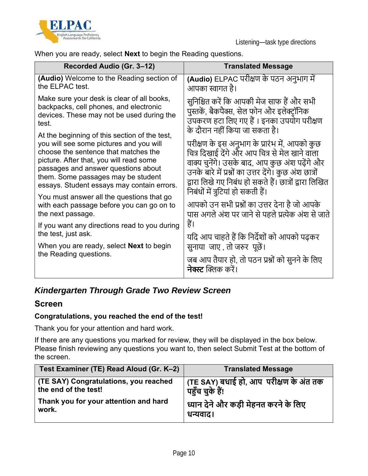



When you are ready, select **Next** to begin the Reading questions.

| Recorded Audio (Gr. 3-12)                                                                                                                                                                                                                                                                                                                           | <b>Translated Message</b>                                                                                                                                                                                                                                                                                   |
|-----------------------------------------------------------------------------------------------------------------------------------------------------------------------------------------------------------------------------------------------------------------------------------------------------------------------------------------------------|-------------------------------------------------------------------------------------------------------------------------------------------------------------------------------------------------------------------------------------------------------------------------------------------------------------|
| <b>(Audio)</b> Welcome to the Reading section of                                                                                                                                                                                                                                                                                                    | (Audio) ELPAC परीक्षण के पठन अनुभाग में                                                                                                                                                                                                                                                                     |
| the ELPAC test.                                                                                                                                                                                                                                                                                                                                     | आपका स्वागत है।                                                                                                                                                                                                                                                                                             |
| Make sure your desk is clear of all books,                                                                                                                                                                                                                                                                                                          | सुनिश्चित करें कि आपकी मेज साफ हैं और सभी                                                                                                                                                                                                                                                                   |
| backpacks, cell phones, and electronic                                                                                                                                                                                                                                                                                                              | पुस्तकें, बैकपैक्स, सेल फोन और इलेक्टॉनिक                                                                                                                                                                                                                                                                   |
| devices. These may not be used during the                                                                                                                                                                                                                                                                                                           | उपकरण हटा लिए गए हैं। इनका उपयोग परीक्षण                                                                                                                                                                                                                                                                    |
| test.                                                                                                                                                                                                                                                                                                                                               | के दौरान नहीं किया जा सकता है।                                                                                                                                                                                                                                                                              |
| At the beginning of this section of the test,<br>you will see some pictures and you will<br>choose the sentence that matches the<br>picture. After that, you will read some<br>passages and answer questions about<br>them. Some passages may be student<br>essays. Student essays may contain errors.<br>You must answer all the questions that go | परीक्षण के इस अनुभाग के प्रारंभ में, आपको कुछ<br>चित्र दिखाई देंगे और आप चित्र से मेल खाने वाला<br>वाक्य चुनेंगे। उसके बाद, आप कुछ अंश पढ़ेंगे और<br>उनके बारे में प्रश्नों का उत्तर देंगे। कुछ अंश छात्रों<br>द्वारा लिखे गए निबंध हो सकते हैं। छात्रों द्वारा लिखित<br>निबंधों में त्रूटियां हो सकती हैं। |
| with each passage before you can go on to                                                                                                                                                                                                                                                                                                           | आपको उन सभी प्रश्नों का उत्तर देना है जो आपके                                                                                                                                                                                                                                                               |
| the next passage.                                                                                                                                                                                                                                                                                                                                   | पास अगले अंश पर जाने से पहले प्रत्येक अंश से जाते                                                                                                                                                                                                                                                           |
| If you want any directions read to you during                                                                                                                                                                                                                                                                                                       | हैं।                                                                                                                                                                                                                                                                                                        |
| the test, just ask.                                                                                                                                                                                                                                                                                                                                 | यदि आप चाहते हैं कि निर्देशों को आपको पढकर                                                                                                                                                                                                                                                                  |
| When you are ready, select <b>Next</b> to begin<br>the Reading questions.                                                                                                                                                                                                                                                                           | सुनाया जाए , तो जरुर पूछें।<br>जब आप तैयार हो, तो पठन प्रश्नों को सुनने के लिए<br><b>नेक्स्ट</b> क्लिक करें।                                                                                                                                                                                                |

### *Kindergarten Through Grade Two Review Screen*

### **Screen**

#### **Congratulations, you reached the end of the test!**

Thank you for your attention and hard work.

If there are any questions you marked for review, they will be displayed in the box below. Please finish reviewing any questions you want to, then select Submit Test at the bottom of the screen.

| Test Examiner (TE) Read Aloud (Gr. K-2) | <b>Translated Message</b>               |
|-----------------------------------------|-----------------------------------------|
| (TE SAY) Congratulations, you reached   | (TE SAY) बधाई हो, आप  परीक्षण के अंत तक |
| the end of the test!                    | पहुँच चुके हैं!                         |
| Thank you for your attention and hard   | ध्यान देने और कडी मेहनत करने के लिए     |
| work.                                   | धन्यवाद।                                |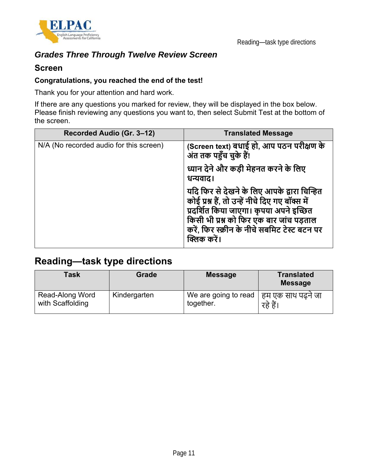

## *Grades Three Through Twelve Review Screen*

### **Screen**

#### **Congratulations, you reached the end of the test!**

Thank you for your attention and hard work.

If there are any questions you marked for review, they will be displayed in the box below. Please finish reviewing any questions you want to, then select Submit Test at the bottom of the screen.

| Recorded Audio (Gr. 3-12)               | <b>Translated Message</b>                                                                                                                                                                                                                             |
|-----------------------------------------|-------------------------------------------------------------------------------------------------------------------------------------------------------------------------------------------------------------------------------------------------------|
| N/A (No recorded audio for this screen) | (Screen text) बधाई हो, आप पठन परीक्षण के<br>अंत तक पहुँच चुके हैं!                                                                                                                                                                                    |
|                                         | ध्यान देने और कड़ी मेहनत करने के लिए<br>धन्यवाद।                                                                                                                                                                                                      |
|                                         | यदि फिर से देखने के लिए आपके द्वारा चिन्हित<br>कोई प्रश्न हैं, तो उन्हें नीचे दिए गए बॉक्स में<br>प्रदर्शित किया जाएगा। कृपया अपने इच्छित<br>किसी भी प्रश्न को फिर एक बार जांच पड़ताल<br>करें, फिर स्क्रीन के नीचे सबमिट टेस्ट बंटन पर<br>क्लिक करें। |

# **Reading—task type directions**

| <b>Task</b>      | <b>Grade</b> | <b>Message</b>       | <b>Translated</b><br><b>Message</b> |
|------------------|--------------|----------------------|-------------------------------------|
| Read-Along Word  | Kindergarten | We are going to read | हम एक साथ पढने जा                   |
| with Scaffolding |              | together.            | रहे हैं।                            |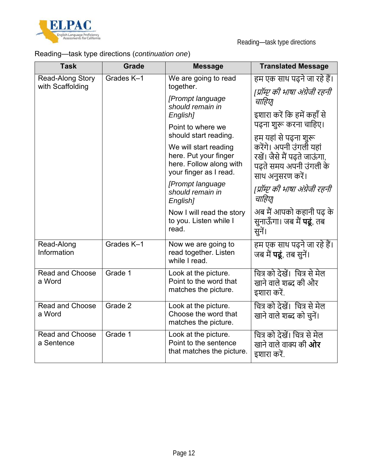

# Reading—task type directions (*continuation one*)

| <b>Task</b>                          | <b>Grade</b> | <b>Message</b>                                                                                      | <b>Translated Message</b>                                                                              |
|--------------------------------------|--------------|-----------------------------------------------------------------------------------------------------|--------------------------------------------------------------------------------------------------------|
| Read-Along Story<br>with Scaffolding | Grades K-1   | We are going to read<br>together.                                                                   | हम एक साथ पढ़ने जा रहे हैं।                                                                            |
|                                      |              | [Prompt language<br>should remain in                                                                | ।प्रॉम्प्ट की भाषा अंग्रेजी रहनी<br>चाहिए।                                                             |
|                                      |              | English]<br>Point to where we                                                                       | इशारा करें कि हमें कहाँ से<br>पढ़ना शुरू करना चाहिए।                                                   |
|                                      |              | should start reading.                                                                               | हम यहां से पढ़ना शुरू                                                                                  |
|                                      |              | We will start reading<br>here. Put your finger<br>here. Follow along with<br>your finger as I read. | करेंगे। अपनी उंगली यहां<br>रखें। जैसे मैं पढ़ते जाऊंगा,<br>पढ़ते समय अपनी उंगली के<br>साथ अनुसरण करें। |
|                                      |              | [Prompt language<br>should remain in<br>English]                                                    | प्रॉम्प्ट की भाषा अंग्रेजी रहनी<br>चाहिए।                                                              |
|                                      |              | Now I will read the story<br>to you. Listen while I<br>read.                                        | अब मैं आपको कहानी पढ़ के<br>सुनाऊँगा। जब मैं <b>पढ़ूं</b> , तब<br>सुनें।                               |
| Read-Along<br>Information            | Grades K-1   | Now we are going to<br>read together. Listen<br>while I read.                                       | हम एक साथ पढ़ने जा रहे हैं।<br>जब मैं <b>पढ़ं</b> , तब सुनें।                                          |
| <b>Read and Choose</b><br>a Word     | Grade 1      | Look at the picture.<br>Point to the word that<br>matches the picture.                              | चित्र को देखें। चित्र से मेल<br>खाने वाले शब्द की और<br>इशारा करें.                                    |
| <b>Read and Choose</b><br>a Word     | Grade 2      | Look at the picture.<br>Choose the word that<br>matches the picture.                                | चित्र को देखें। चित्र से मेल<br>खाने वाले शब्द को चुनें।                                               |
| <b>Read and Choose</b><br>a Sentence | Grade 1      | Look at the picture.<br>Point to the sentence<br>that matches the picture.                          | चित्र को देखें। चित्र से मेल<br>खाने वाले वाक्य की <b>ओर</b><br>इशारा करें.                            |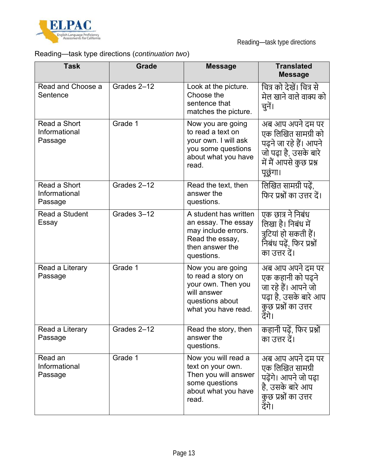

# Reading—task type directions (*continuation two*)

| <b>Task</b>                              | <b>Grade</b> | <b>Message</b>                                                                                                          | <b>Translated</b><br><b>Message</b>                                                                                              |
|------------------------------------------|--------------|-------------------------------------------------------------------------------------------------------------------------|----------------------------------------------------------------------------------------------------------------------------------|
| Read and Choose a<br>Sentence            | Grades 2-12  | Look at the picture.<br>Choose the<br>sentence that<br>matches the picture.                                             | चित्र को देखें। चित्र से<br>मेल खाने वाले वाक्य को<br>चुनें।                                                                     |
| Read a Short<br>Informational<br>Passage | Grade 1      | Now you are going<br>to read a text on<br>your own. I will ask<br>you some questions<br>about what you have<br>read.    | अब आप अपने दम पर<br>एक लिखित सामग्री को<br>पढने जा रहे हैं। आपने<br>जो पढ़ा है, उसके बारे<br>में मैं आपसे कुछ प्रश्न<br>पूछुंगा। |
| Read a Short<br>Informational<br>Passage | Grades 2-12  | Read the text, then<br>answer the<br>questions.                                                                         | लिखित सामग्री पढ़ें,<br>फिर प्रश्नों का उत्तर दें।                                                                               |
| Read a Student<br>Essay                  | Grades 3-12  | A student has written<br>an essay. The essay<br>may include errors.<br>Read the essay,<br>then answer the<br>questions. | एक छात्र ने निबंध<br>लिखा है। निबंध में<br>त्रुटियां हो सकती हैं।<br>निबंध पढ़ें, फिर प्रश्नों<br>का उत्तर दें।                  |
| Read a Literary<br>Passage               | Grade 1      | Now you are going<br>to read a story on<br>your own. Then you<br>will answer<br>questions about<br>what you have read.  | अब आप अपने दम पर<br>एक कहानी को पढने<br>जा रहे हैं। आपने जो<br>पढ़ा है, उसके बारे आप<br>कुछ प्रश्नों का उत्तर<br>देंगे।          |
| Read a Literary<br>Passage               | Grades 2-12  | Read the story, then<br>answer the<br>questions.                                                                        | कहानी पढ़ें, फिर प्रश्नों<br>का उत्तर दें।                                                                                       |
| Read an<br>Informational<br>Passage      | Grade 1      | Now you will read a<br>text on your own.<br>Then you will answer<br>some questions<br>about what you have<br>read.      | अब आप अपने दम पर<br>एक लिखित सामग्री<br>पढेंगे। आपने जो पढा<br>है, उसके बारे आप<br>कुछ प्रश्नों का उत्तर<br>देंगे।               |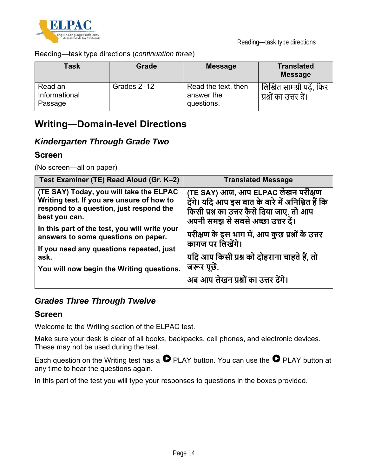

Reading—task type directions (*continuation three*)

| Task                                | Grade       | <b>Message</b>                                  | <b>Translated</b><br><b>Message</b>                  |
|-------------------------------------|-------------|-------------------------------------------------|------------------------------------------------------|
| Read an<br>Informational<br>Passage | Grades 2-12 | Read the text, then<br>answer the<br>questions. | , लिखित सामग्री पढ़ें, फिर<br>प्रश्नों का उत्तर दें। |

# **Writing—Domain-level Directions**

## *Kindergarten Through Grade Two*

### **Screen**

(No screen—all on paper)

| Test Examiner (TE) Read Aloud (Gr. K-2)       | <b>Translated Message</b>                        |
|-----------------------------------------------|--------------------------------------------------|
| (TE SAY) Today, you will take the ELPAC       | (TE SAY) आज, आप ELPAC लेखन परीक्षण               |
| Writing test. If you are unsure of how to     | देंगे। यदि आप इस बात के बारे में अनिश्चित हैं कि |
| respond to a question, just respond the       | किसी प्रश्न का उत्तर कैसे दिया जाए, तो आप        |
| best you can.                                 | अपनी समझ से सबसे अच्छा उत्तर दें।                |
| In this part of the test, you will write your | परीक्षण के इस भाग में, आप कुछ प्रश्नों के उत्तर  |
| answers to some questions on paper.           | कागज पर लिखेंगे।                                 |
| If you need any questions repeated, just      | यदि आप किसी प्रश्न को दोहराना चाहते हैं, तो      |
| ask.                                          | जरूर पूछें.                                      |
| You will now begin the Writing questions.     | अब आप लेखन प्रश्नों का उत्तर देंगे।              |

### *Grades Three Through Twelve*

### **Screen**

Welcome to the Writing section of the ELPAC test.

Make sure your desk is clear of all books, backpacks, cell phones, and electronic devices. These may not be used during the test.

Each question on the Writing test has a  $\bullet$  PLAY button. You can use the  $\bullet$  PLAY button at any time to hear the questions again.

In this part of the test you will type your responses to questions in the boxes provided.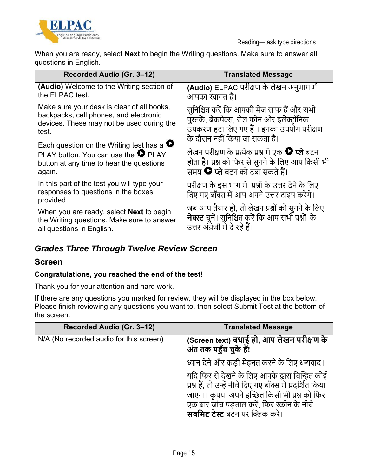

When you are ready, select **Next** to begin the Writing questions. Make sure to answer all questions in English.

| Recorded Audio (Gr. 3-12)                                                                                                                                 | <b>Translated Message</b>                                                                                                                         |
|-----------------------------------------------------------------------------------------------------------------------------------------------------------|---------------------------------------------------------------------------------------------------------------------------------------------------|
| (Audio) Welcome to the Writing section of                                                                                                                 | (Audio) ELPAC परीक्षण के लेखन अनुभाग में                                                                                                          |
| the ELPAC test.                                                                                                                                           | आपका स्वागत है।                                                                                                                                   |
| Make sure your desk is clear of all books,                                                                                                                | सुनिश्चित करें कि आपकी मेज साफ हैं और सभी                                                                                                         |
| backpacks, cell phones, and electronic                                                                                                                    | पुस्तकें, बैकपैक्स, सेल फोन और इलेक्ट्रॉनिक                                                                                                       |
| devices. These may not be used during the                                                                                                                 | उपकरण हटा लिए गए हैं। इनका उपयोग परीक्षण                                                                                                          |
| test.                                                                                                                                                     | के दौरान नहीं किया जा सकता है।                                                                                                                    |
| Each question on the Writing test has a $\bullet$<br>PLAY button. You can use the <sup>D</sup> PLAY<br>button at any time to hear the questions<br>again. | लेखन परीक्षण के प्रत्येक प्रश्न में एक © <b>प्ले</b> बटन<br>होता है। प्रश्न को फिर से सुनने के लिए आप किसी भी<br>समय �े प्ले बटन को दबा सकते हैं। |
| In this part of the test you will type your<br>responses to questions in the boxes<br>provided.                                                           | परीक्षण के इस भाग में  प्रश्नों के उत्तर देने के लिए<br>दिए गए बॉक्स में आप अपने उत्तर टाइप करेंगे।                                               |
| When you are ready, select <b>Next</b> to begin                                                                                                           | जब आप तैयार हो, तो लेखन प्रश्नों को सुनने के लिए                                                                                                  |
| the Writing questions. Make sure to answer                                                                                                                | <b>नेक्स्ट</b> चुनें। सुनिश्चित करें कि आप सभी प्रश्नों के                                                                                        |
| all questions in English.                                                                                                                                 | उत्तर अंग्रेजी में दे रहे हैं।                                                                                                                    |

# *Grades Three Through Twelve Review Screen*

### **Screen**

### **Congratulations, you reached the end of the test!**

Thank you for your attention and hard work.

If there are any questions you marked for review, they will be displayed in the box below. Please finish reviewing any questions you want to, then select Submit Test at the bottom of the screen.

| Recorded Audio (Gr. 3-12)               | <b>Translated Message</b>                                                                                                                                                                                                                         |
|-----------------------------------------|---------------------------------------------------------------------------------------------------------------------------------------------------------------------------------------------------------------------------------------------------|
| N/A (No recorded audio for this screen) | ' (Screen text) बधाई हो, आप लेखन परीक्षण के<br>अंत तक पहुँच चुके हैं!                                                                                                                                                                             |
|                                         | ध्यान देने और कड़ी मेहनत करने के लिए धन्यवाद।                                                                                                                                                                                                     |
|                                         | यदि फिर से देखने के लिए आपके द्वारा चिन्हित कोई<br>प्रश्न हैं, तो उन्हें नीचे दिए गए बॉक्स में प्रदर्शित किया<br>जाएगा। कृपया अपने इच्छित किसी भी प्रश्न को फिर<br>एक बार जांच पड़ताल करें, फिर स्क्रीन के नीचे<br>सबमिट टेस्ट बटन पर क्लिक करें। |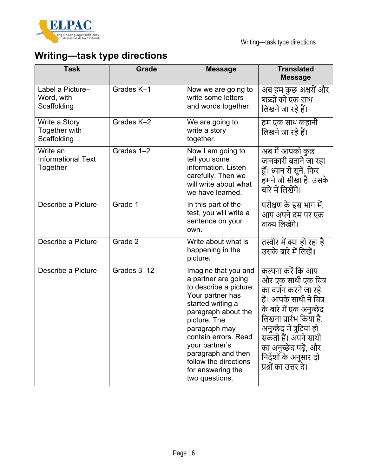

# **Writing—task type directions**

| <b>Task</b>                                       | <b>Grade</b> | <b>Message</b>                                                                                                                                                                                                                                                                                         | <b>Translated</b><br><b>Message</b>                                                                                                                                                                                                                                              |
|---------------------------------------------------|--------------|--------------------------------------------------------------------------------------------------------------------------------------------------------------------------------------------------------------------------------------------------------------------------------------------------------|----------------------------------------------------------------------------------------------------------------------------------------------------------------------------------------------------------------------------------------------------------------------------------|
| Label a Picture-<br>Word, with<br>Scaffolding     | Grades K-1   | Now we are going to<br>write some letters<br>and words together.                                                                                                                                                                                                                                       | अब हम कुछ अक्षरों और<br>शब्दों को एक साथ<br>लिखने जा रहे हैं।                                                                                                                                                                                                                    |
| Write a Story<br>Together with<br>Scaffolding     | Grades K-2   | We are going to<br>write a story<br>together.                                                                                                                                                                                                                                                          | हम एक साथ कहानी<br>लिखने जा रहे हैं।                                                                                                                                                                                                                                             |
| Write an<br><b>Informational Text</b><br>Together | Grades 1-2   | Now I am going to<br>tell you some<br>information. Listen<br>carefully. Then we<br>will write about what<br>we have learned.                                                                                                                                                                           | अब मैं आपको कुछ<br>जानकारी बताने जा रहा<br>हूँ। ध्यान से सुनें. फिर<br>हमने जो सीखा है, उसके<br>बारे में लिखेंगे।                                                                                                                                                                |
| Describe a Picture                                | Grade 1      | In this part of the<br>test, you will write a<br>sentence on your<br>own.                                                                                                                                                                                                                              | परीक्षण के इस भाग में,<br>आप अपने दम पर एक<br>वाक्य लिखेंगे।                                                                                                                                                                                                                     |
| Describe a Picture                                | Grade 2      | Write about what is<br>happening in the<br>picture.                                                                                                                                                                                                                                                    | तस्वीर में क्या हो रहा है<br>उसके बारे में लिखें।                                                                                                                                                                                                                                |
| Describe a Picture                                | Grades 3-12  | Imagine that you and<br>a partner are going<br>to describe a picture.<br>Your partner has<br>started writing a<br>paragraph about the<br>picture. The<br>paragraph may<br>contain errors. Read<br>your partner's<br>paragraph and then<br>follow the directions<br>for answering the<br>two questions. | कल्पना करें कि आप<br>और एक साथी एक चित्र<br>का वर्णन करने जा रहे<br>हैं। आपके साथी ने चित्र<br>के बारे में एक अनुच्छेद<br>लिखना प्रारंभ किया है.<br>अनुच्छेद में त्रुटियां हो<br>सकती हैं। अपने साथी<br>का अनुच्छेद पढ़ें, और<br>निर्देशों के अनुसार दो<br>प्रश्नों का उत्तर दे। |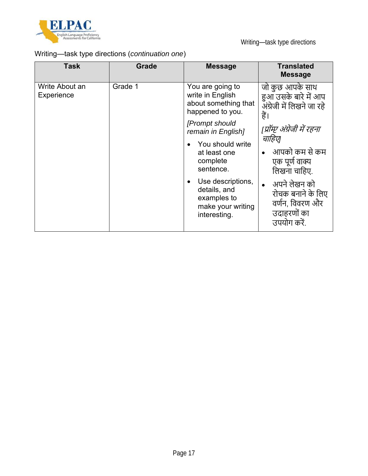

### Writing—task type directions (*continuation one*)

| <b>Task</b>                  | Grade   | <b>Message</b>                                                                                                                                                                                                                                                                 | <b>Translated</b><br><b>Message</b>                                                                                                                                                                                                                            |
|------------------------------|---------|--------------------------------------------------------------------------------------------------------------------------------------------------------------------------------------------------------------------------------------------------------------------------------|----------------------------------------------------------------------------------------------------------------------------------------------------------------------------------------------------------------------------------------------------------------|
| Write About an<br>Experience | Grade 1 | You are going to<br>write in English<br>about something that<br>happened to you.<br>[Prompt should<br>remain in English]<br>You should write<br>at least one<br>complete<br>sentence.<br>Use descriptions,<br>details, and<br>examples to<br>make your writing<br>interesting. | जो कुछ आपके साथ<br>हुआ उसके बारे में आप<br>अंग्रेजी में लिखने जा रहे<br>हैं।<br> प्रॉम्पू अंग्रेजी में रहना<br>चाहिए।<br>आपको कम से कम<br>एक पूर्ण वाक्य<br>लिखना चाहिए.<br>अपने लेखन को<br>रोचक बनाने के लिए<br>वर्णन. विवरण और<br>उदाहरणों का<br>उपयोग करें. |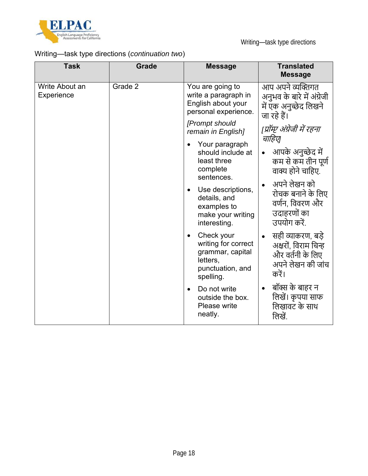

# Writing—task type directions (*continuation two*)

| <b>Task</b>                             | <b>Grade</b>                                                                                                                                                                                                                                                                                                         | <b>Message</b>                                                                                                                                                                                                                                                                         | <b>Translated</b><br><b>Message</b>                                                                                                                                       |
|-----------------------------------------|----------------------------------------------------------------------------------------------------------------------------------------------------------------------------------------------------------------------------------------------------------------------------------------------------------------------|----------------------------------------------------------------------------------------------------------------------------------------------------------------------------------------------------------------------------------------------------------------------------------------|---------------------------------------------------------------------------------------------------------------------------------------------------------------------------|
| Grade 2<br>Write About an<br>Experience | You are going to<br>write a paragraph in<br>English about your<br>personal experience.<br>[Prompt should<br>remain in English]<br>Your paragraph<br>should include at<br>least three<br>complete<br>sentences.<br>Use descriptions,<br>$\bullet$<br>details, and<br>examples to<br>make your writing<br>interesting. | आप अपने व्यक्तिगत<br>अनुभव के बारे में अंग्रेजी<br>में एक अनुच्छेद लिखने<br>जा रहे हैं।<br> प्रॉम्पू अंग्रेजी में रहना<br>चाहिए।<br>आपके अनुच्छेद में<br>कम से कम तीन पूर्ण<br>वाक्य होने चाहिए.<br>अपने लेखन को<br>रोचक बनाने के लिए<br>वर्णन, विवरण और<br>उदाहरणों का<br>उपयोग करें. |                                                                                                                                                                           |
|                                         |                                                                                                                                                                                                                                                                                                                      | Check your<br>writing for correct<br>grammar, capital<br>letters,<br>punctuation, and<br>spelling.<br>Do not write<br>outside the box.<br>Please write<br>neatly.                                                                                                                      | सही व्याकरण, बडे<br>अक्षरों, विराम चिन्ह<br>और वर्तनी के लिए<br>अपने लेखन की जांच<br>करें।<br>बॉक्स के बाहर न<br>$\bullet$<br>लिखें। कृपया साफ<br>लिखावट के साथ<br>लिखें. |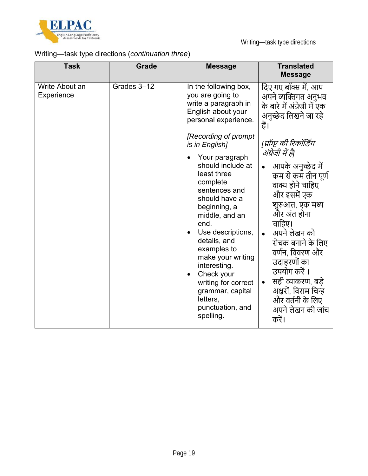

# Writing—task type directions (*continuation three*)

| <b>Task</b>                  | <b>Grade</b> | <b>Message</b>                                                                                                                                                                                                                                                                                                                                                                                                                                                                                                       | <b>Translated</b><br><b>Message</b>                                                                                                                                                                                                                                                                                                                                                                                                          |
|------------------------------|--------------|----------------------------------------------------------------------------------------------------------------------------------------------------------------------------------------------------------------------------------------------------------------------------------------------------------------------------------------------------------------------------------------------------------------------------------------------------------------------------------------------------------------------|----------------------------------------------------------------------------------------------------------------------------------------------------------------------------------------------------------------------------------------------------------------------------------------------------------------------------------------------------------------------------------------------------------------------------------------------|
| Write About an<br>Experience | Grades 3-12  | In the following box,<br>you are going to<br>write a paragraph in<br>English about your<br>personal experience.<br>[Recording of prompt]<br>is in English]<br>Your paragraph<br>should include at<br>least three<br>complete<br>sentences and<br>should have a<br>beginning, a<br>middle, and an<br>end.<br>Use descriptions,<br>$\bullet$<br>details, and<br>examples to<br>make your writing<br>interesting.<br>Check your<br>$\bullet$<br>writing for correct<br>grammar, capital<br>letters,<br>punctuation, and | दिए गए बॉक्स में, आप<br>अपने व्यक्तिगत अनुभव<br>के बारे में अंग्रेजी में एक<br>अनुच्छेद लिखने जा रहे<br>हैं।<br>।प्रॉम्पृ की रिकॉर्डिंग<br>अंग्रेजी में है।<br>आपके अनुच्छेद में<br>कम से कम तीन पूर्ण<br>वाक्य होने चाहिए<br>और इसमें एक<br>शुरुआत, एक मध्य<br>और अंत होना<br>चाहिए।<br>अपने लेखन को<br>रोचक बनाने के लिए<br>वर्णन, विवरण और<br>उदाहरणों का<br>उपयोग करें ।<br>सही व्याकरण, बडे<br>अक्षरों, विराम चिन्ह<br>और वर्तनी के लिए |
|                              |              | spelling.                                                                                                                                                                                                                                                                                                                                                                                                                                                                                                            | अपने लेखन की जांच<br>करें।                                                                                                                                                                                                                                                                                                                                                                                                                   |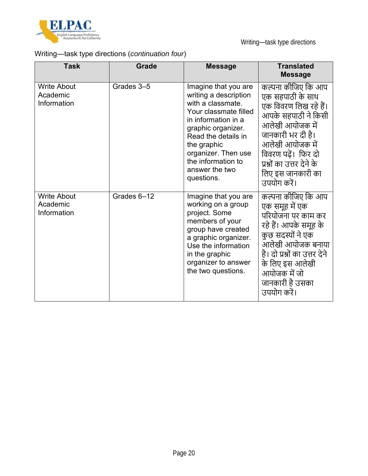

# Writing—task type directions (*continuation four*)

| <b>Task</b>                                   | <b>Grade</b> | <b>Message</b>                                                                                                                                                                                                                                              | <b>Translated</b><br><b>Message</b>                                                                                                                                                                                                      |
|-----------------------------------------------|--------------|-------------------------------------------------------------------------------------------------------------------------------------------------------------------------------------------------------------------------------------------------------------|------------------------------------------------------------------------------------------------------------------------------------------------------------------------------------------------------------------------------------------|
| <b>Write About</b><br>Academic<br>Information | Grades 3-5   | Imagine that you are<br>writing a description<br>with a classmate.<br>Your classmate filled<br>in information in a<br>graphic organizer.<br>Read the details in<br>the graphic<br>organizer. Then use<br>the information to<br>answer the two<br>questions. | कल्पना कीजिए कि आप<br>एक सहपाठी के साथ<br>एक विवरण लिख रहे हैं।<br>आपके सहपाठी ने किसी<br>आलेखी आयोजक में<br>जानकारी भर दी है।<br>आलेखी आयोजक में<br>विवरण पढें। फिर दो<br>प्रश्नों का उत्तर देने के<br>लिए इस जानकारी का<br>उपयोग करें। |
| <b>Write About</b><br>Academic<br>Information | Grades 6-12  | Imagine that you are<br>working on a group<br>project. Some<br>members of your<br>group have created<br>a graphic organizer.<br>Use the information<br>in the graphic<br>organizer to answer<br>the two questions.                                          | कल्पना कीजिए कि आप<br>एक समूह में एक<br>परियोजना पर काम कर<br>रहे हैं। आपके समूह के<br>कुछ सदस्यों ने एक<br>आलेखी आयोजक बनाया<br>है। दो प्रश्नों का उत्तर देने<br>के लिए इस आलेखी<br>आयोजक में जो<br>जानकारी है उसका<br>उपयोग करें।      |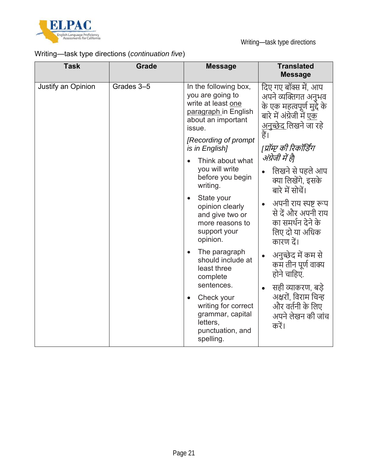

# Writing—task type directions (*continuation five*)

| <b>Task</b>        | <b>Grade</b> | <b>Message</b>                                                                                                                                                    | <b>Translated</b><br><b>Message</b>                                                                                                                                       |
|--------------------|--------------|-------------------------------------------------------------------------------------------------------------------------------------------------------------------|---------------------------------------------------------------------------------------------------------------------------------------------------------------------------|
| Justify an Opinion | Grades 3-5   | In the following box,<br>you are going to<br>write at least one<br>paragraph in English<br>about an important<br>issue.<br>[Recording of prompt<br>is in English] | दिए गए बॉक्स में, आप<br>अपने व्यक्तिगत अनुभव<br>के एक महत्वपूर्ण मुद्दे के<br>बारे में अंग्रेजी में एक<br><u>अनुच्छेद लिखने जा रहे</u><br>हैं।<br>।प्रॉम्पृ की रिकॉर्डिंग |
|                    |              | Think about what<br>you will write<br>before you begin<br>writing.                                                                                                | अंग्रेजी में है।<br>लिखने से पहले आप<br>क्या लिखेंगे, इसके<br>बारे में सोचें।                                                                                             |
|                    |              | State your<br>$\bullet$<br>opinion clearly<br>and give two or<br>more reasons to<br>support your<br>opinion.                                                      | अपनी राय स्पष्ट रूप<br>से दें और अपनी राय<br>का समर्थन देने के<br>लिए दो या अधिक<br>कारण दें।                                                                             |
|                    |              | The paragraph<br>$\bullet$<br>should include at<br>least three<br>complete<br>sentences.                                                                          | अनुच्छेद में कम से<br>कम तीन पूर्ण वाक्य<br>होने चाहिए.<br>सही व्याकरण, बड़े                                                                                              |
|                    |              | Check your<br>$\bullet$<br>writing for correct<br>grammar, capital<br>letters,<br>punctuation, and<br>spelling.                                                   | अक्षरों, विराम चिन्ह<br>और वर्तनी के लिए<br>अपने लेखन की जांच<br>करें।                                                                                                    |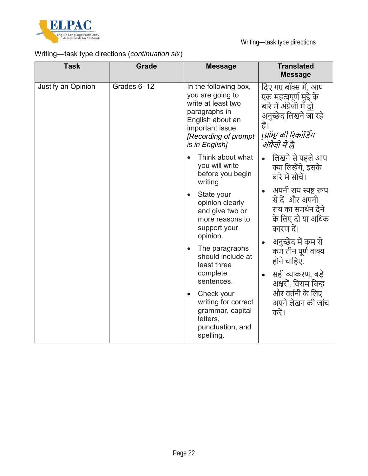

### Writing—task type directions (*continuation six*)

| Grades 6-12<br>Justify an Opinion<br>In the following box,<br>you are going to<br>write at least two<br>paragraphs in<br>English about an<br>important issue.<br>[Recording of prompt<br>is in English]<br>Think about what<br>you will write<br>before you begin<br>writing.<br>State your<br>$\bullet$<br>opinion clearly<br>and give two or<br>more reasons to<br>support your | <b>Message</b><br><b>Message</b>                                                                                                                                                                                                                                                                                       |
|-----------------------------------------------------------------------------------------------------------------------------------------------------------------------------------------------------------------------------------------------------------------------------------------------------------------------------------------------------------------------------------|------------------------------------------------------------------------------------------------------------------------------------------------------------------------------------------------------------------------------------------------------------------------------------------------------------------------|
|                                                                                                                                                                                                                                                                                                                                                                                   | दिए गए बॉक्स में, आप<br>एक महत्वपूर्ण मुद्दे के<br>बारे में अंग्रेजी में दो<br><u>अनुच्छेद लिखने जा</u> रहे<br>हैं।<br>।प्रॉम्पृ की रिकॉर्डिंग<br>अंग्रेजी में है।                                                                                                                                                     |
| $\bullet$<br>The paragraphs<br>$\bullet$<br>should include at<br>least three<br>complete<br>sentences.<br>Check your<br>$\bullet$<br>writing for correct<br>grammar, capital<br>करें।<br>letters,<br>punctuation, and                                                                                                                                                             | लिखने से पहले आप<br>क्या लिखेंगे, इसके<br>बारे में सोचें।<br>अपनी राय स्पष्ट रूप<br>से दें और अपनी<br>राय का समर्थन देने<br>के लिए दो या अधिक<br>कारण दें।<br>opinion.<br>अनुच्छेद में कम से<br>कम तीन पूर्ण वाक्य<br>होने चाहिए.<br>सही व्याकरण, बडे<br>अक्षरों, विराम चिन्ह<br>और वर्तनी के लिए<br>अपने लेखन की जांच |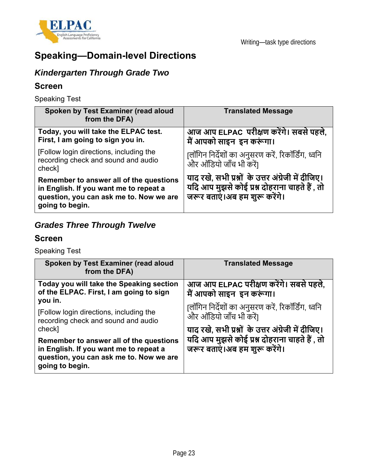

# **Speaking—Domain-level Directions**

# *Kindergarten Through Grade Two*

### **Screen**

Speaking Test

| Spoken by Test Examiner (read aloud<br>from the DFA)                                                                                            | <b>Translated Message</b>                                                                                                            |
|-------------------------------------------------------------------------------------------------------------------------------------------------|--------------------------------------------------------------------------------------------------------------------------------------|
| Today, you will take the ELPAC test.<br>First, I am going to sign you in.                                                                       | आज आप ELPAC परीक्षण करेंगे। सबसे पहले.<br>मैं आपको साइन) इन करूंगा।                                                                  |
| [Follow login directions, including the<br>recording check and sound and audio<br>check]                                                        | [लॉगिन निर्देशों का अनुसरण करें, रिकॉर्डिंग, ध्वनि<br>और ऑडियो जाँच भी करें।                                                         |
| Remember to answer all of the questions<br>in English. If you want me to repeat a<br>question, you can ask me to. Now we are<br>going to begin. | याद रखे, सभी प्रश्नों के उत्तर अंग्रेजी में दीजिए।<br>यदि आप मुझसे कोई प्रश्न दोहराना चाहते हैं, तो<br>जरूर बताएँ।अब हम शुरू करेंगे। |

# *Grades Three Through Twelve*

### **Screen**

Speaking Test

| Spoken by Test Examiner (read aloud<br>from the DFA)                                                                                            | <b>Translated Message</b>                                                                                                          |
|-------------------------------------------------------------------------------------------------------------------------------------------------|------------------------------------------------------------------------------------------------------------------------------------|
| Today you will take the Speaking section<br>of the ELPAC. First, I am going to sign<br>you in.                                                  | आज आप ELPAC परीक्षण करेंगे। सबसे पहले.<br>मैं आपको साइन) इन करूंगा।                                                                |
| [Follow login directions, including the<br>recording check and sound and audio<br>check]                                                        | ।लॉगिन निर्देशों का अनुसरण करें, रिकॉर्डिंग, ध्वनि<br>और ऑडियो जाँच भी करें।<br>याद रखे, सभी प्रश्नों के उत्तर अंग्रेजी में दीजिए। |
| Remember to answer all of the questions<br>in English. If you want me to repeat a<br>question, you can ask me to. Now we are<br>going to begin. | यदि आप मुझसे कोई प्रश्न दोहराना चाहते हैं , तो<br>जरूर बताएं।अब हम शुरू करेंगे।                                                    |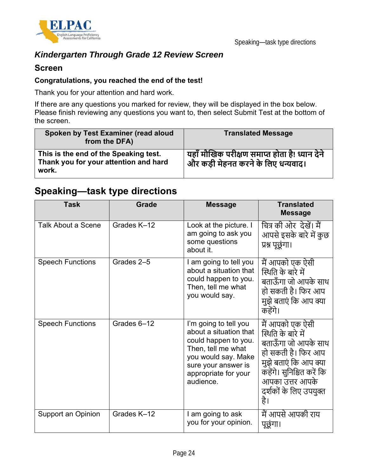

## *Kindergarten Through Grade 12 Review Screen*

#### **Screen**

#### **Congratulations, you reached the end of the test!**

Thank you for your attention and hard work.

If there are any questions you marked for review, they will be displayed in the box below. Please finish reviewing any questions you want to, then select Submit Test at the bottom of the screen.

| Spoken by Test Examiner (read aloud<br>from the DFA)                                    | <b>Translated Message</b>                                                                        |
|-----------------------------------------------------------------------------------------|--------------------------------------------------------------------------------------------------|
| This is the end of the Speaking test.<br>Thank you for your attention and hard<br>work. | यहाँ मौखिक परीक्षण समाप्त होता है! ध्यान देने<br><sup>'</sup> और कड़ी मेहनत करने के लिए धन्यवाद। |

# **Speaking—task type directions**

| <b>Task</b>             | <b>Grade</b> | <b>Message</b>                                                                                                                                                                   | <b>Translated</b><br><b>Message</b>                                                                                                                                                          |
|-------------------------|--------------|----------------------------------------------------------------------------------------------------------------------------------------------------------------------------------|----------------------------------------------------------------------------------------------------------------------------------------------------------------------------------------------|
| Talk About a Scene      | Grades K-12  | Look at the picture. I<br>am going to ask you<br>some questions<br>about it.                                                                                                     | चित्र की ओर देखें। मैं<br>आपसे इसके बारे में कुछ<br>प्रश्न पूछंगा।                                                                                                                           |
| <b>Speech Functions</b> | Grades 2-5   | I am going to tell you<br>about a situation that<br>could happen to you.<br>Then, tell me what<br>you would say.                                                                 | मैं आपको एक ऐसी<br>स्थिति के बारे में<br>बताऊँगा जो आपके साथ<br>हो सकती है। फिर आप<br>मुझे बताएं कि आप क्या<br>कहेंगे।                                                                       |
| <b>Speech Functions</b> | Grades 6-12  | I'm going to tell you<br>about a situation that<br>could happen to you.<br>Then, tell me what<br>you would say. Make<br>sure your answer is<br>appropriate for your<br>audience. | मैं आपको एक ऐसी<br>स्थिति के बारे में<br>बताऊँगा जो आपके साथ<br>हो सकती है। फिर आप<br>मुझे बताएं कि आप क्या<br>कहेंगे। सुनिश्चित करें कि<br>आपका उत्तर आपके<br>दर्शकों के लिए उपयुक्त<br>है। |
| Support an Opinion      | Grades K-12  | I am going to ask<br>you for your opinion.                                                                                                                                       | में आपसे आपकी राय<br>पूछुंगा।                                                                                                                                                                |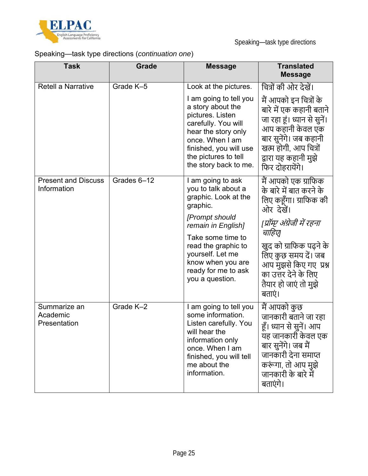

# Speaking—task type directions (*continuation one*)

| <b>Task</b>                               | <b>Grade</b> | <b>Message</b>                                                                                                                                                                          | <b>Translated</b><br><b>Message</b>                                                                                                                                                               |
|-------------------------------------------|--------------|-----------------------------------------------------------------------------------------------------------------------------------------------------------------------------------------|---------------------------------------------------------------------------------------------------------------------------------------------------------------------------------------------------|
| <b>Retell a Narrative</b>                 | Grade K-5    | Look at the pictures.<br>I am going to tell you                                                                                                                                         | चित्रों की ओर देखें।                                                                                                                                                                              |
|                                           |              | a story about the<br>pictures. Listen<br>carefully. You will<br>hear the story only<br>once. When I am<br>finished, you will use<br>the pictures to tell<br>the story back to me.       | मैं आपको इन चित्रों के<br>बारे में एक कहानी बताने<br>जा रहा हूं। ध्यान से सुनें।<br>आप कहानी केवल एक<br>बार सुनेंगे। जब कहानी<br>खत्म होगी, आप चित्रों<br>द्वारा यह कहानी मुझे<br>फिर दोहरायेंगे। |
| <b>Present and Discuss</b><br>Information | Grades 6-12  | I am going to ask<br>you to talk about a<br>graphic. Look at the<br>graphic.                                                                                                            | मैं आपको एक ग्राफिक<br>के बारे में बात करने के<br>लिए कहूँगा। ग्राफिक की<br>ओर देखें।                                                                                                             |
|                                           |              | [Prompt should<br>remain in English]<br>Take some time to                                                                                                                               | प्रॉम्पृ अंग्रेजी में रहना<br>चाहिए।                                                                                                                                                              |
|                                           |              | read the graphic to<br>yourself. Let me<br>know when you are<br>ready for me to ask<br>you a question.                                                                                  | खुद को ग्राफिक पढ़ने के<br>लिए कुछ समय दें। जब<br>आप मुझसे किए गए) प्रश्न<br>का उत्तर देने के लिए<br>तैयार हो जाएं तो मुझे<br>बताएं।                                                              |
| Summarize an<br>Academic<br>Presentation  | Grade K-2    | I am going to tell you<br>some information.<br>Listen carefully. You<br>will hear the<br>information only<br>once. When I am<br>finished, you will tell<br>me about the<br>information. | मैं आपको कुछ<br>जानकारी बताने जा रहा<br>हूँ। ध्यान से सुनें। आप<br>यह जानकारी केवल एक<br>बार सुनेंगे। जब मैं<br>जानकारी देना समाप्त<br>करूंगा, तो आप मुझे<br>जानकारी के बारे में<br>बताएंगे।      |